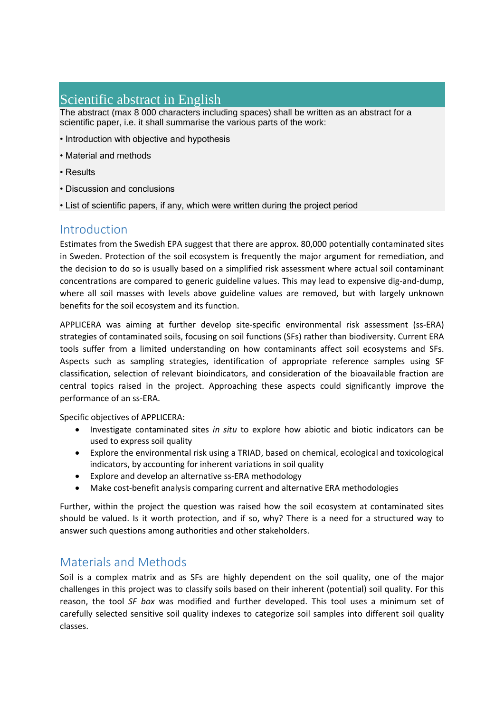# Scientific abstract in English

The abstract (max 8 000 characters including spaces) shall be written as an abstract for a scientific paper, i.e. it shall summarise the various parts of the work:

- Introduction with objective and hypothesis
- Material and methods
- Results
- Discussion and conclusions
- List of scientific papers, if any, which were written during the project period

#### Introduction

Estimates from the Swedish EPA suggest that there are approx. 80,000 potentially contaminated sites in Sweden. Protection of the soil ecosystem is frequently the major argument for remediation, and the decision to do so is usually based on a simplified risk assessment where actual soil contaminant concentrations are compared to generic guideline values. This may lead to expensive dig-and-dump, where all soil masses with levels above guideline values are removed, but with largely unknown benefits for the soil ecosystem and its function.

APPLICERA was aiming at further develop site-specific environmental risk assessment (ss-ERA) strategies of contaminated soils, focusing on soil functions (SFs) rather than biodiversity. Current ERA tools suffer from a limited understanding on how contaminants affect soil ecosystems and SFs. Aspects such as sampling strategies, identification of appropriate reference samples using SF classification, selection of relevant bioindicators, and consideration of the bioavailable fraction are central topics raised in the project. Approaching these aspects could significantly improve the performance of an ss-ERA.

Specific objectives of APPLICERA:

- Investigate contaminated sites *in situ* to explore how abiotic and biotic indicators can be used to express soil quality
- Explore the environmental risk using a TRIAD, based on chemical, ecological and toxicological indicators, by accounting for inherent variations in soil quality
- Explore and develop an alternative ss-ERA methodology
- Make cost-benefit analysis comparing current and alternative ERA methodologies

Further, within the project the question was raised how the soil ecosystem at contaminated sites should be valued. Is it worth protection, and if so, why? There is a need for a structured way to answer such questions among authorities and other stakeholders.

## Materials and Methods

Soil is a complex matrix and as SFs are highly dependent on the soil quality, one of the major challenges in this project was to classify soils based on their inherent (potential) soil quality. For this reason, the tool *SF box* was modified and further developed. This tool uses a minimum set of carefully selected sensitive soil quality indexes to categorize soil samples into different soil quality classes.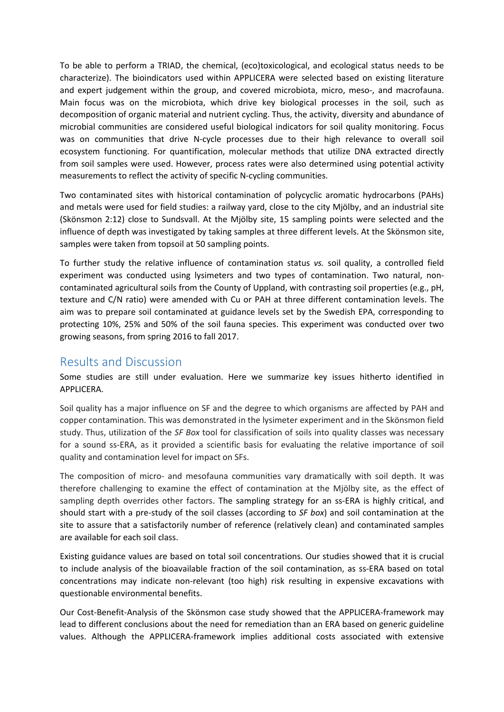To be able to perform a TRIAD, the chemical, (eco)toxicological, and ecological status needs to be characterize). The bioindicators used within APPLICERA were selected based on existing literature and expert judgement within the group, and covered microbiota, micro, meso-, and macrofauna. Main focus was on the microbiota, which drive key biological processes in the soil, such as decomposition of organic material and nutrient cycling. Thus, the activity, diversity and abundance of microbial communities are considered useful biological indicators for soil quality monitoring. Focus was on communities that drive N-cycle processes due to their high relevance to overall soil ecosystem functioning. For quantification, molecular methods that utilize DNA extracted directly from soil samples were used. However, process rates were also determined using potential activity measurements to reflect the activity of specific N-cycling communities.

Two contaminated sites with historical contamination of polycyclic aromatic hydrocarbons (PAHs) and metals were used for field studies: a railway yard, close to the city Mjölby, and an industrial site (Skönsmon 2:12) close to Sundsvall. At the Mjölby site, 15 sampling points were selected and the influence of depth was investigated by taking samples at three different levels. At the Skönsmon site, samples were taken from topsoil at 50 sampling points.

To further study the relative influence of contamination status *vs.* soil quality, a controlled field experiment was conducted using lysimeters and two types of contamination. Two natural, noncontaminated agricultural soils from the County of Uppland, with contrasting soil properties (e.g., pH, texture and C/N ratio) were amended with Cu or PAH at three different contamination levels. The aim was to prepare soil contaminated at guidance levels set by the Swedish EPA, corresponding to protecting 10%, 25% and 50% of the soil fauna species. This experiment was conducted over two growing seasons, from spring 2016 to fall 2017.

## Results and Discussion

Some studies are still under evaluation. Here we summarize key issues hitherto identified in APPLICERA.

Soil quality has a major influence on SF and the degree to which organisms are affected by PAH and copper contamination. This was demonstrated in the lysimeter experiment and in the Skönsmon field study. Thus, utilization of the *SF Box* tool for classification of soils into quality classes was necessary for a sound ss-ERA, as it provided a scientific basis for evaluating the relative importance of soil quality and contamination level for impact on SFs.

The composition of micro- and mesofauna communities vary dramatically with soil depth. It was therefore challenging to examine the effect of contamination at the Mjölby site, as the effect of sampling depth overrides other factors. The sampling strategy for an ss-ERA is highly critical, and should start with a pre-study of the soil classes (according to *SF box*) and soil contamination at the site to assure that a satisfactorily number of reference (relatively clean) and contaminated samples are available for each soil class.

Existing guidance values are based on total soil concentrations. Our studies showed that it is crucial to include analysis of the bioavailable fraction of the soil contamination, as ss-ERA based on total concentrations may indicate non-relevant (too high) risk resulting in expensive excavations with questionable environmental benefits.

Our Cost-Benefit-Analysis of the Skönsmon case study showed that the APPLICERA-framework may lead to different conclusions about the need for remediation than an ERA based on generic guideline values. Although the APPLICERA-framework implies additional costs associated with extensive